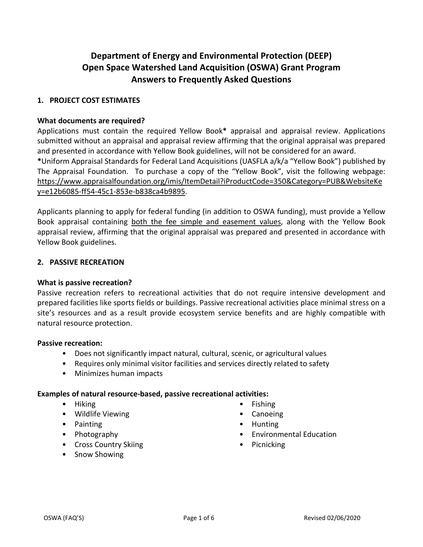# **Department of Energy and Environmental Protection (DEEP) Open Space Watershed Land Acquisition (OSWA) Grant Program Answers to Frequently Asked Questions**

## **1. PROJECT COST ESTIMATES**

#### **What documents are required?**

Applications must contain the required Yellow Book**\*** appraisal and appraisal review. Applications submitted without an appraisal and appraisal review affirming that the original appraisal was prepared and presented in accordance with Yellow Book guidelines, will not be considered for an award. **\***Uniform Appraisal Standards for Federal Land Acquisitions (UASFLA a/k/a "Yellow Book") published by The Appraisal Foundation. To purchase a copy of the "Yellow Book", visit the following webpage: https://www.appraisalfoundation.org/imis/ItemDetail?iProductCode=350&Category=PUB&WebsiteKe y=e12b6085-ff54-45c1-853e-b838ca4b9895.

Applicants planning to apply for federal funding (in addition to OSWA funding), must provide a Yellow Book appraisal containing both the fee simple and easement values, along with the Yellow Book appraisal review, affirming that the original appraisal was prepared and presented in accordance with Yellow Book guidelines.

#### **2. PASSIVE RECREATION**

#### **What is passive recreation?**

Passive recreation refers to recreational activities that do not require intensive development and prepared facilities like sports fields or buildings. Passive recreational activities place minimal stress on a site's resources and as a result provide ecosystem service benefits and are highly compatible with natural resource protection.

### **Passive recreation:**

- Does not significantly impact natural, cultural, scenic, or agricultural values
- Requires only minimal visitor facilities and services directly related to safety
- Minimizes human impacts

#### **Examples of natural resource-based, passive recreational activities:**

- Hiking
- Wildlife Viewing
- Painting
- Photography
- Cross Country Skiing
- Snow Showing
- Fishing
- Canoeing
- Hunting
- Environmental Education
- Picnicking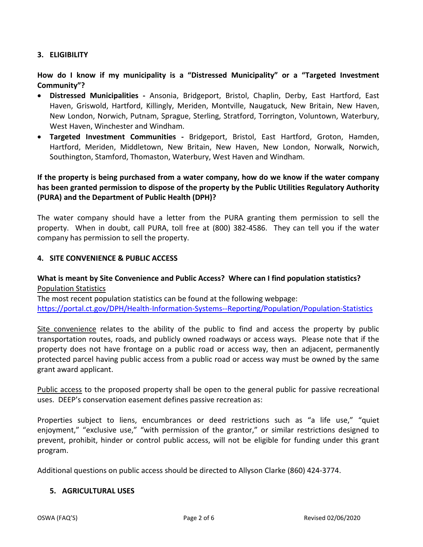## **3. ELIGIBILITY**

**How do I know if my municipality is a "Distressed Municipality" or a "Targeted Investment Community"?**

- **Distressed Municipalities -** Ansonia, Bridgeport, Bristol, Chaplin, Derby, East Hartford, East Haven, Griswold, Hartford, Killingly, Meriden, Montville, Naugatuck, New Britain, New Haven, New London, Norwich, Putnam, Sprague, Sterling, Stratford, Torrington, Voluntown, Waterbury, West Haven, Winchester and Windham.
- **Targeted Investment Communities -** Bridgeport, Bristol, East Hartford, Groton, Hamden, Hartford, Meriden, Middletown, New Britain, New Haven, New London, Norwalk, Norwich, Southington, Stamford, Thomaston, Waterbury, West Haven and Windham.

# **If the property is being purchased from a water company, how do we know if the water company has been granted permission to dispose of the property by the Public Utilities Regulatory Authority (PURA) and the Department of Public Health (DPH)?**

The water company should have a letter from the PURA granting them permission to sell the property. When in doubt, call PURA, toll free at (800) 382-4586. They can tell you if the water company has permission to sell the property.

## **4. SITE CONVENIENCE & PUBLIC ACCESS**

## **What is meant by Site Convenience and Public Access? Where can I find population statistics?**  Population Statistics

The most recent population statistics can be found at the following webpage: <https://portal.ct.gov/DPH/Health-Information-Systems--Reporting/Population/Population-Statistics>

Site convenience relates to the ability of the public to find and access the property by public transportation routes, roads, and publicly owned roadways or access ways. Please note that if the property does not have frontage on a public road or access way, then an adjacent, permanently protected parcel having public access from a public road or access way must be owned by the same grant award applicant.

Public access to the proposed property shall be open to the general public for passive recreational uses. DEEP's conservation easement defines passive recreation as:

Properties subject to liens, encumbrances or deed restrictions such as "a life use," "quiet enjoyment," "exclusive use," "with permission of the grantor," or similar restrictions designed to prevent, prohibit, hinder or control public access, will not be eligible for funding under this grant program.

Additional questions on public access should be directed to Allyson Clarke (860) 424-3774.

#### **5. AGRICULTURAL USES**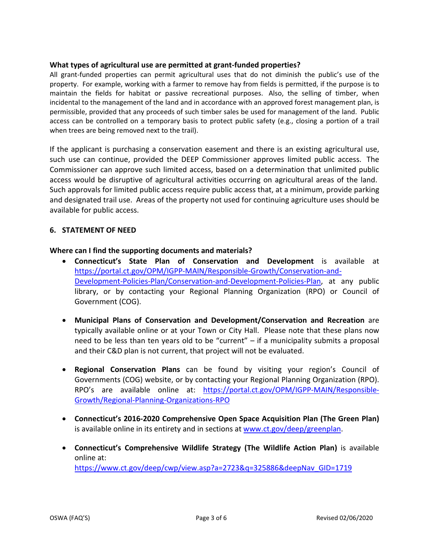### **What types of agricultural use are permitted at grant-funded properties?**

All grant-funded properties can permit agricultural uses that do not diminish the public's use of the property. For example, working with a farmer to remove hay from fields is permitted, if the purpose is to maintain the fields for habitat or passive recreational purposes. Also, the selling of timber, when incidental to the management of the land and in accordance with an approved forest management plan, is permissible, provided that any proceeds of such timber sales be used for management of the land. Public access can be controlled on a temporary basis to protect public safety (e.g., closing a portion of a trail when trees are being removed next to the trail).

If the applicant is purchasing a conservation easement and there is an existing agricultural use, such use can continue, provided the DEEP Commissioner approves limited public access. The Commissioner can approve such limited access, based on a determination that unlimited public access would be disruptive of agricultural activities occurring on agricultural areas of the land. Such approvals for limited public access require public access that, at a minimum, provide parking and designated trail use. Areas of the property not used for continuing agriculture uses should be available for public access.

#### **6. STATEMENT OF NEED**

**Where can I find the supporting documents and materials?**

- **Connecticut's State Plan of Conservation and Development** is available at [https://portal.ct.gov/OPM/IGPP-MAIN/Responsible-Growth/Conservation-and-](https://portal.ct.gov/OPM/IGPP-MAIN/Responsible-Growth/Conservation-and-Development-Policies-Plan/Conservation-and-Development-Policies-Plan)[Development-Policies-Plan/Conservation-and-Development-Policies-Plan,](https://portal.ct.gov/OPM/IGPP-MAIN/Responsible-Growth/Conservation-and-Development-Policies-Plan/Conservation-and-Development-Policies-Plan) at any public library, or by contacting your Regional Planning Organization (RPO) or Council of Government (COG).
- **Municipal Plans of Conservation and Development/Conservation and Recreation** are typically available online or at your Town or City Hall. Please note that these plans now need to be less than ten years old to be "current" – if a municipality submits a proposal and their C&D plan is not current, that project will not be evaluated.
- **Regional Conservation Plans** can be found by visiting your region's Council of Governments (COG) website, or by contacting your Regional Planning Organization (RPO). RPO's are available online at: [https://portal.ct.gov/OPM/IGPP-MAIN/Responsible-](https://portal.ct.gov/OPM/IGPP-MAIN/Responsible-Growth/Regional-Planning-Organizations-RPO)[Growth/Regional-Planning-Organizations-RPO](https://portal.ct.gov/OPM/IGPP-MAIN/Responsible-Growth/Regional-Planning-Organizations-RPO)
- **Connecticut's 2016-2020 Comprehensive Open Space Acquisition Plan (The Green Plan)** is available online in its entirety and in sections at [www.ct.gov/deep/greenplan.](http://www.ct.gov/deep/greenplan)
- **Connecticut's Comprehensive Wildlife Strategy (The Wildlife Action Plan)** is available online at: [https://www.ct.gov/deep/cwp/view.asp?a=2723&q=325886&deepNav\\_GID=1719](https://www.ct.gov/deep/cwp/view.asp?a=2723&q=325886&deepNav_GID=1719)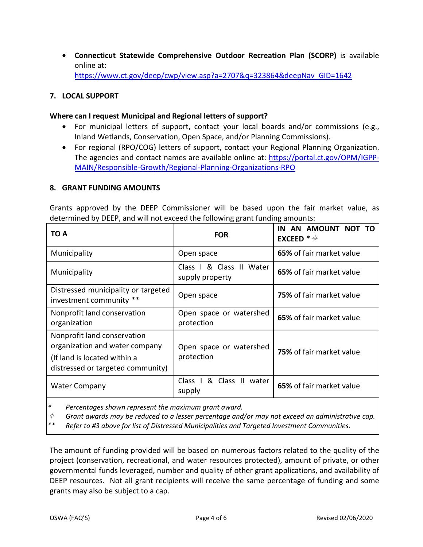• **Connecticut Statewide Comprehensive Outdoor Recreation Plan (SCORP)** is available online at: [https://www.ct.gov/deep/cwp/view.asp?a=2707&q=323864&deepNav\\_GID=1642](https://www.ct.gov/deep/cwp/view.asp?a=2707&q=323864&deepNav_GID=1642)

### **7. LOCAL SUPPORT**

### **Where can I request Municipal and Regional letters of support?**

- For municipal letters of support, contact your local boards and/or commissions (e.g., Inland Wetlands, Conservation, Open Space, and/or Planning Commissions).
- For regional (RPO/COG) letters of support, contact your Regional Planning Organization. The agencies and contact names are available online at: [https://portal.ct.gov/OPM/IGPP-](https://portal.ct.gov/OPM/IGPP-MAIN/Responsible-Growth/Regional-Planning-Organizations-RPO)[MAIN/Responsible-Growth/Regional-Planning-Organizations-RPO](https://portal.ct.gov/OPM/IGPP-MAIN/Responsible-Growth/Regional-Planning-Organizations-RPO)

#### **8. GRANT FUNDING AMOUNTS**

Grants approved by the DEEP Commissioner will be based upon the fair market value, as determined by DEEP, and will not exceed the following grant funding amounts:

| TO A                                                                                                                               | <b>FOR</b>                                  | AN AMOUNT NOT TO<br>IN<br>EXCEED $*\phi$ |
|------------------------------------------------------------------------------------------------------------------------------------|---------------------------------------------|------------------------------------------|
| Municipality                                                                                                                       | Open space                                  | 65% of fair market value                 |
| Municipality                                                                                                                       | Class I & Class II Water<br>supply property | 65% of fair market value                 |
| Distressed municipality or targeted<br>investment community **                                                                     | Open space                                  | <b>75%</b> of fair market value          |
| Nonprofit land conservation<br>organization                                                                                        | Open space or watershed<br>protection       | 65% of fair market value                 |
| Nonprofit land conservation<br>organization and water company<br>(If land is located within a<br>distressed or targeted community) | Open space or watershed<br>protection       | 75% of fair market value                 |
| <b>Water Company</b>                                                                                                               | Class I & Class II water<br>supply          | 65% of fair market value                 |

*\* Percentages shown represent the maximum grant award.*

 $\phi$ *Grant awards may be reduced to a lesser percentage and/or may not exceed an administrative cap.*

*\*\* Refer to #3 above for list of Distressed Municipalities and Targeted Investment Communities.*

The amount of funding provided will be based on numerous factors related to the quality of the project (conservation, recreational, and water resources protected), amount of private, or other governmental funds leveraged, number and quality of other grant applications, and availability of DEEP resources. Not all grant recipients will receive the same percentage of funding and some grants may also be subject to a cap.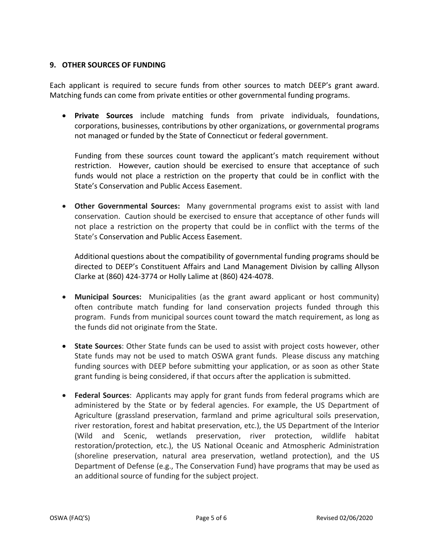### **9. OTHER SOURCES OF FUNDING**

Each applicant is required to secure funds from other sources to match DEEP's grant award. Matching funds can come from private entities or other governmental funding programs.

• **Private Sources** include matching funds from private individuals, foundations, corporations, businesses, contributions by other organizations, or governmental programs not managed or funded by the State of Connecticut or federal government.

Funding from these sources count toward the applicant's match requirement without restriction. However, caution should be exercised to ensure that acceptance of such funds would not place a restriction on the property that could be in conflict with the State's Conservation and Public Access Easement.

• **Other Governmental Sources:** Many governmental programs exist to assist with land conservation. Caution should be exercised to ensure that acceptance of other funds will not place a restriction on the property that could be in conflict with the terms of the State's Conservation and Public Access Easement.

Additional questions about the compatibility of governmental funding programs should be directed to DEEP's Constituent Affairs and Land Management Division by calling Allyson Clarke at (860) 424-3774 or Holly Lalime at (860) 424-4078.

- **Municipal Sources:** Municipalities (as the grant award applicant or host community) often contribute match funding for land conservation projects funded through this program. Funds from municipal sources count toward the match requirement, as long as the funds did not originate from the State.
- **State Sources**: Other State funds can be used to assist with project costs however, other State funds may not be used to match OSWA grant funds. Please discuss any matching funding sources with DEEP before submitting your application, or as soon as other State grant funding is being considered, if that occurs after the application is submitted.
- **Federal Sources**: Applicants may apply for grant funds from federal programs which are administered by the State or by federal agencies. For example, the US Department of Agriculture (grassland preservation, farmland and prime agricultural soils preservation, river restoration, forest and habitat preservation, etc.), the US Department of the Interior (Wild and Scenic, wetlands preservation, river protection, wildlife habitat restoration/protection, etc.), the US National Oceanic and Atmospheric Administration (shoreline preservation, natural area preservation, wetland protection), and the US Department of Defense (e.g., The Conservation Fund) have programs that may be used as an additional source of funding for the subject project.